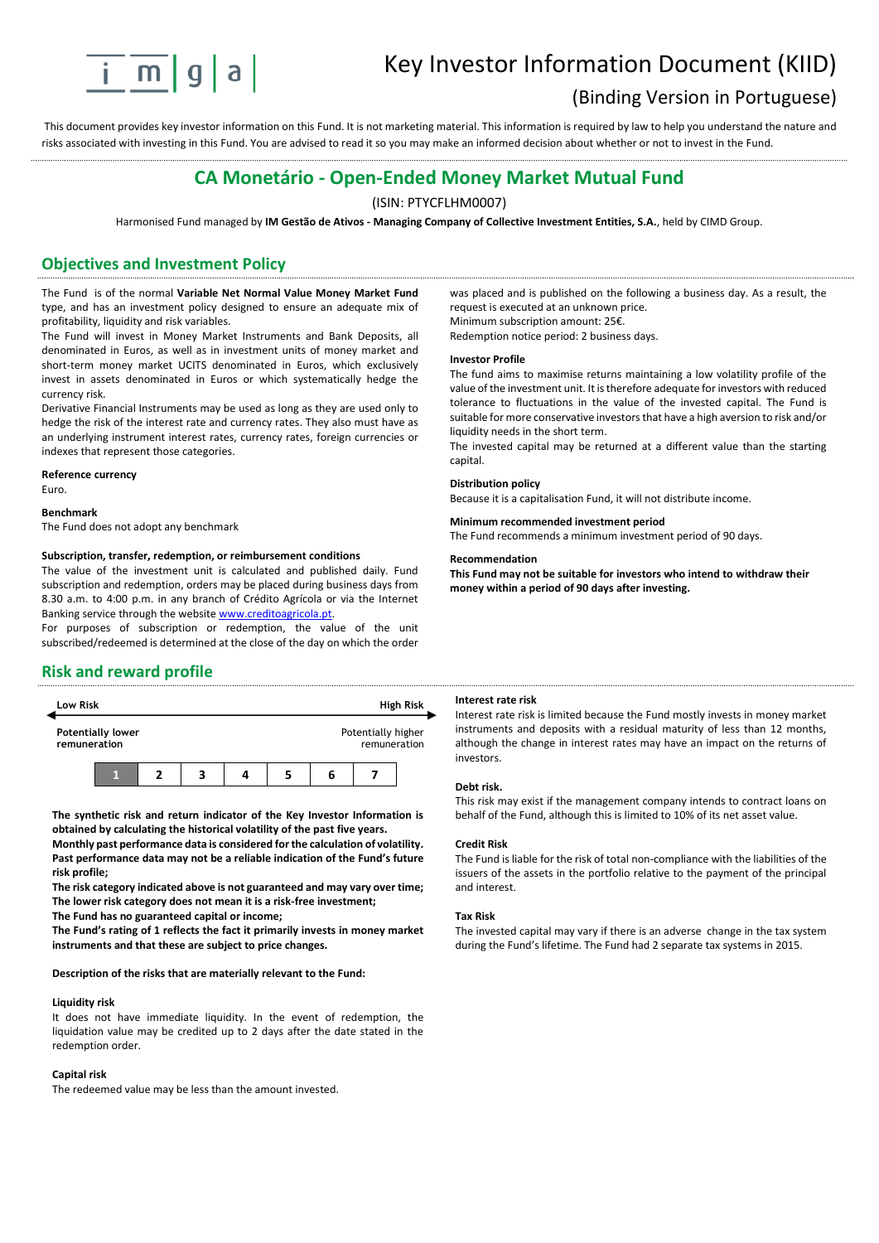

# Key Investor Information Document (KIID)

# (Binding Version in Portuguese)

This document provides key investor information on this Fund. It is not marketing material. This information is required by law to help you understand the nature and risks associated with investing in this Fund. You are advised to read it so you may make an informed decision about whether or not to invest in the Fund.

# **CA Monetário - Open-Ended Money Market Mutual Fund**

### (ISIN: PTYCFLHM0007)

Harmonised Fund managed by **IM Gestão de Ativos - Managing Company of Collective Investment Entities, S.A.**, held by CIMD Group.

# **Objectives and Investment Policy**

The Fund is of the normal **Variable Net Normal Value Money Market Fund** type, and has an investment policy designed to ensure an adequate mix of profitability, liquidity and risk variables.

The Fund will invest in Money Market Instruments and Bank Deposits, all denominated in Euros, as well as in investment units of money market and short-term money market UCITS denominated in Euros, which exclusively invest in assets denominated in Euros or which systematically hedge the currency risk.

Derivative Financial Instruments may be used as long as they are used only to hedge the risk of the interest rate and currency rates. They also must have as an underlying instrument interest rates, currency rates, foreign currencies or indexes that represent those categories.

#### **Reference currency**

Euro.

#### **Benchmark**

The Fund does not adopt any benchmark

#### **Subscription, transfer, redemption, or reimbursement conditions**

The value of the investment unit is calculated and published daily. Fund subscription and redemption, orders may be placed during business days from 8.30 a.m. to 4:00 p.m. in any branch of Crédito Agrícola or via the Internet Banking service through the website www.creditoagricola.pt.

For purposes of subscription or redemption, the value of the unit subscribed/redeemed is determined at the close of the day on which the order

### **Risk and reward profile**



**The synthetic risk and return indicator of the Key Investor Information is obtained by calculating the historical volatility of the past five years.** 

**Monthly past performance data is considered for the calculation of volatility. Past performance data may not be a reliable indication of the Fund's future risk profile;**

**The risk category indicated above is not guaranteed and may vary over time; The lower risk category does not mean it is a risk-free investment;**

**The Fund has no guaranteed capital or income;**

**The Fund's rating of 1 reflects the fact it primarily invests in money market instruments and that these are subject to price changes.** 

#### **Description of the risks that are materially relevant to the Fund:**

#### **Liquidity risk**

It does not have immediate liquidity. In the event of redemption, the liquidation value may be credited up to 2 days after the date stated in the redemption order.

#### **Capital risk**

The redeemed value may be less than the amount invested.

was placed and is published on the following a business day. As a result, the request is executed at an unknown price. Minimum subscription amount: 25€.

Redemption notice period: 2 business days.

#### **Investor Profile**

The fund aims to maximise returns maintaining a low volatility profile of the value of the investment unit. It is therefore adequate for investors with reduced tolerance to fluctuations in the value of the invested capital. The Fund is suitable for more conservative investors that have a high aversion to risk and/or liquidity needs in the short term.

The invested capital may be returned at a different value than the starting capital.

#### **Distribution policy**

Because it is a capitalisation Fund, it will not distribute income.

## **Minimum recommended investment period**

The Fund recommends a minimum investment period of 90 days.

#### **Recommendation**

**This Fund may not be suitable for investors who intend to withdraw their money within a period of 90 days after investing.**

### **Interest rate risk**

Interest rate risk is limited because the Fund mostly invests in money market instruments and deposits with a residual maturity of less than 12 months, although the change in interest rates may have an impact on the returns of investors.

#### **Debt risk.**

This risk may exist if the management company intends to contract loans on behalf of the Fund, although this is limited to 10% of its net asset value.

#### **Credit Risk**

The Fund is liable for the risk of total non-compliance with the liabilities of the issuers of the assets in the portfolio relative to the payment of the principal and interest.

#### **Tax Risk**

The invested capital may vary if there is an adverse change in the tax system during the Fund's lifetime. The Fund had 2 separate tax systems in 2015.